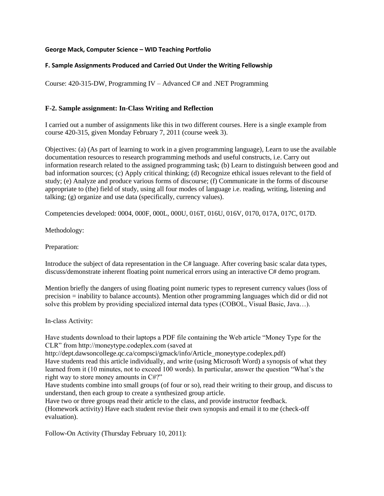### **George Mack, Computer Science – WID Teaching Portfolio**

## **F. Sample Assignments Produced and Carried Out Under the Writing Fellowship**

Course: 420-315-DW, Programming IV – Advanced C# and .NET Programming

### **F-2. Sample assignment: In-Class Writing and Reflection**

I carried out a number of assignments like this in two different courses. Here is a single example from course 420-315, given Monday February 7, 2011 (course week 3).

Objectives: (a) (As part of learning to work in a given programming language), Learn to use the available documentation resources to research programming methods and useful constructs, i.e. Carry out information research related to the assigned programming task; (b) Learn to distinguish between good and bad information sources; (c) Apply critical thinking; (d) Recognize ethical issues relevant to the field of study; (e) Analyze and produce various forms of discourse; (f) Communicate in the forms of discourse appropriate to (the) field of study, using all four modes of language i.e. reading, writing, listening and talking; (g) organize and use data (specifically, currency values).

Competencies developed: 0004, 000F, 000L, 000U, 016T, 016U, 016V, 0170, 017A, 017C, 017D.

Methodology:

Preparation:

Introduce the subject of data representation in the C# language. After covering basic scalar data types, discuss/demonstrate inherent floating point numerical errors using an interactive C# demo program.

Mention briefly the dangers of using floating point numeric types to represent currency values (loss of precision = inability to balance accounts). Mention other programming languages which did or did not solve this problem by providing specialized internal data types (COBOL, Visual Basic, Java…).

In-class Activity:

Have students download to their laptops a PDF file containing the Web article "Money Type for the CLR" from http://moneytype.codeplex.com (saved at

http://dept.dawsoncollege.qc.ca/compsci/gmack/info/Article\_moneytype.codeplex.pdf) Have students read this article individually, and write (using Microsoft Word) a synopsis of what they learned from it (10 minutes, not to exceed 100 words). In particular, answer the question "What's the right way to store money amounts in C#?"

Have students combine into small groups (of four or so), read their writing to their group, and discuss to understand, then each group to create a synthesized group article.

Have two or three groups read their article to the class, and provide instructor feedback. (Homework activity) Have each student revise their own synopsis and email it to me (check-off evaluation).

Follow-On Activity (Thursday February 10, 2011):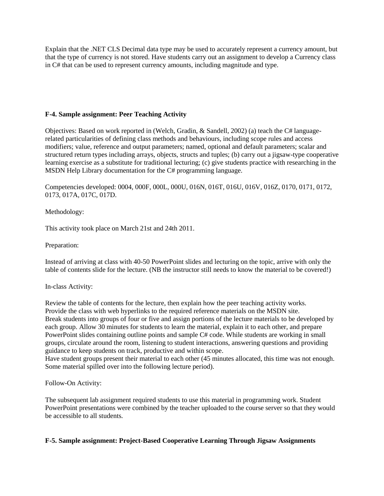Explain that the .NET CLS Decimal data type may be used to accurately represent a currency amount, but that the type of currency is not stored. Have students carry out an assignment to develop a Currency class in C# that can be used to represent currency amounts, including magnitude and type.

### **F-4. Sample assignment: Peer Teaching Activity**

Objectives: Based on work reported in (Welch, Gradin, & Sandell, 2002) (a) teach the C# languagerelated particularities of defining class methods and behaviours, including scope rules and access modifiers; value, reference and output parameters; named, optional and default parameters; scalar and structured return types including arrays, objects, structs and tuples; (b) carry out a jigsaw-type cooperative learning exercise as a substitute for traditional lecturing; (c) give students practice with researching in the MSDN Help Library documentation for the C# programming language.

Competencies developed: 0004, 000F, 000L, 000U, 016N, 016T, 016U, 016V, 016Z, 0170, 0171, 0172, 0173, 017A, 017C, 017D.

### Methodology:

This activity took place on March 21st and 24th 2011.

### Preparation:

Instead of arriving at class with 40-50 PowerPoint slides and lecturing on the topic, arrive with only the table of contents slide for the lecture. (NB the instructor still needs to know the material to be covered!)

### In-class Activity:

Review the table of contents for the lecture, then explain how the peer teaching activity works. Provide the class with web hyperlinks to the required reference materials on the MSDN site. Break students into groups of four or five and assign portions of the lecture materials to be developed by each group. Allow 30 minutes for students to learn the material, explain it to each other, and prepare PowerPoint slides containing outline points and sample C# code. While students are working in small groups, circulate around the room, listening to student interactions, answering questions and providing guidance to keep students on track, productive and within scope.

Have student groups present their material to each other (45 minutes allocated, this time was not enough. Some material spilled over into the following lecture period).

Follow-On Activity:

The subsequent lab assignment required students to use this material in programming work. Student PowerPoint presentations were combined by the teacher uploaded to the course server so that they would be accessible to all students.

# **F-5. Sample assignment: Project-Based Cooperative Learning Through Jigsaw Assignments**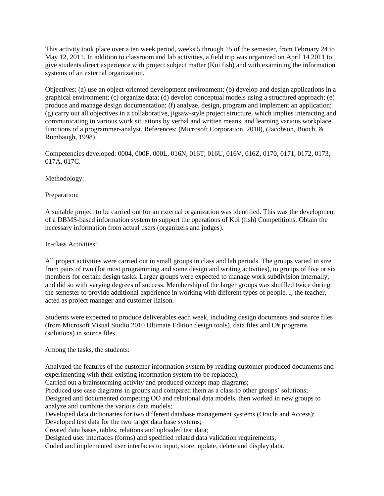This activity took place over a ten week period, weeks 5 through 15 of the semester, from February 24 to May 12, 2011. In addition to classroom and lab activities, a field trip was organized on April 14 2011 to give students direct experience with project subject matter (Koi fish) and with examining the information systems of an external organization.

Objectives: (a) use an object-oriented development environment; (b) develop and design applications in a graphical environment; (c) organize data; (d) develop conceptual models using a structured approach; (e) produce and manage design documentation; (f) analyze, design, program and implement an application; (g) carry out all objectives in a collaborative, jigsaw-style project structure, which implies interacting and communicating in various work situations by verbal and written means, and learning various workplace functions of a programmer-analyst. References: (Microsoft Corporation, 2010), (Jacobson, Booch, & Rumbaugh, 1998)

Competencies developed: 0004, 000F, 000L, 016N, 016T, 016U, 016V, 016Z, 0170, 0171, 0172, 0173, 017A, 017C.

Methodology:

Preparation:

A suitable project to be carried out for an external organization was identified. This was the development of a DBMS-based information system to support the operations of Koi (fish) Competitions. Obtain the necessary information from actual users (organizers and judges).

In-class Activities:

All project activities were carried out in small groups in class and lab periods. The groups varied in size from pairs of two (for most programming and some design and writing activities), to groups of five or six members for certain design tasks. Larger groups were expected to manage work subdivision internally, and did so with varying degrees of success. Membership of the larger groups was shuffled twice during the semester to provide additional experience in working with different types of people. I, the teacher, acted as project manager and customer liaison.

Students were expected to produce deliverables each week, including design documents and source files (from Microsoft Visual Studio 2010 Ultimate Edition design tools), data files and C# programs (solutions) in source files.

Among the tasks, the students:

Analyzed the features of the customer information system by reading customer produced documents and experimenting with their existing information system (to be replaced);

Carried out a brainstorming activity and produced concept map diagrams;

Produced use case diagrams in groups and compared them as a class to other groups' solutions; Designed and documented competing OO and relational data models, then worked in new groups to

analyze and combine the various data models;

Developed data dictionaries for two different database management systems (Oracle and Access); Developed test data for the two target data base systems;

Created data bases, tables, relations and uploaded test data;

Designed user interfaces (forms) and specified related data validation requirements;

Coded and implemented user interfaces to input, store, update, delete and display data.